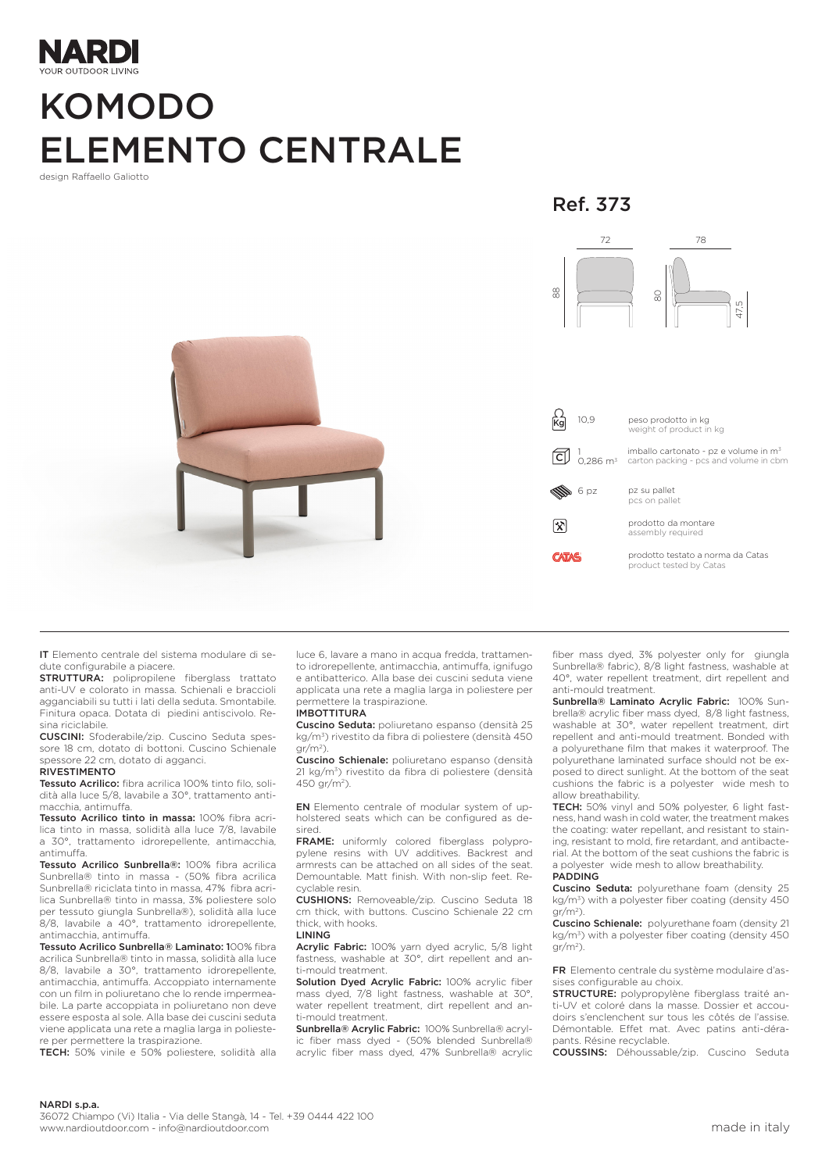

# KOMODO ELEMENTO CENTRALE

design Raffaello Galiotto

Ref. 373



IT Elemento centrale del sistema modulare di sedute configurabile a piacere.

STRUTTURA: polipropilene fiberglass trattato anti-UV e colorato in massa. Schienali e braccioli agganciabili su tutti i lati della seduta. Smontabile. Finitura opaca. Dotata di piedini antiscivolo. Resina riciclabile.

CUSCINI: Sfoderabile/zip. Cuscino Seduta spessore 18 cm, dotato di bottoni. Cuscino Schienale spessore 22 cm, dotato di agganci. RIVESTIMENTO

Tessuto Acrilico: fibra acrilica 100% tinto filo, soli-

dità alla luce 5/8, lavabile a 30°, trattamento antimacchia, antimuffa.

Tessuto Acrilico tinto in massa: 100% fibra acrilica tinto in massa, solidità alla luce 7/8, lavabile a 30°, trattamento idrorepellente, antimacchia, antimuffa.

Tessuto Acrilico Sunbrella®: 100% fibra acrilica Sunbrella® tinto in massa - (50% fibra acrilica Sunbrella® riciclata tinto in massa, 47% fibra acrilica Sunbrella® tinto in massa, 3% poliestere solo per tessuto giungla Sunbrella®), solidità alla luce 8/8, lavabile a 40°, trattamento idrorepellente, antimacchia, antimuffa.

Tessuto Acrilico Sunbrella® Laminato: 100% fibra acrilica Sunbrella® tinto in massa, solidità alla luce 8/8, lavabile a 30°, trattamento idrorepellente, antimacchia, antimuffa. Accoppiato internamente con un film in poliuretano che lo rende impermeabile. La parte accoppiata in poliuretano non deve essere esposta al sole. Alla base dei cuscini seduta viene applicata una rete a maglia larga in poliestere per permettere la traspirazione.

TECH: 50% vinile e 50% poliestere, solidità alla

luce 6, lavare a mano in acqua fredda, trattamento idrorepellente, antimacchia, antimuffa, ignifugo e antibatterico. Alla base dei cuscini seduta viene applicata una rete a maglia larga in poliestere per permettere la traspirazione.

#### IMBOTTITURA

Cuscino Seduta: poliuretano espanso (densità 25 kg/m3) rivestito da fibra di poliestere (densità 450  $\frac{1}{2}$ 

Cuscino Schienale: poliuretano espanso (densità 21 kg/m<sup>3</sup>) rivestito da fibra di poliestere (densità 450 gr/m2).

EN Elemento centrale of modular system of upholstered seats which can be configured as desired.

FRAME: uniformly colored fiberglass polypropylene resins with UV additives. Backrest and armrests can be attached on all sides of the seat. Demountable. Matt finish. With non-slip feet. Recyclable resin.

CUSHIONS: Removeable/zip. Cuscino Seduta 18 cm thick, with buttons. Cuscino Schienale 22 cm thick, with hooks.

LINING

Acrylic Fabric: 100% yarn dyed acrylic, 5/8 light fastness, washable at 30°, dirt repellent and anti-mould treatment.

Solution Dyed Acrylic Fabric: 100% acrylic fiber mass dyed, 7/8 light fastness, washable at 30°, water repellent treatment, dirt repellent and anti-mould treatment.

Sunbrella® Acrylic Fabric: 100% Sunbrella® acrylic fiber mass dyed - (50% blended Sunbrella® acrylic fiber mass dyed, 47% Sunbrella® acrylic fiber mass dyed, 3% polyester only for giungla Sunbrella® fabric), 8/8 light fastness, washable at 40°, water repellent treatment, dirt repellent and anti-mould treatment.

Sunbrella® Laminato Acrylic Fabric: 100% Sunbrella® acrylic fiber mass dyed, 8/8 light fastness, washable at 30°, water repellent treatment, dirt repellent and anti-mould treatment. Bonded with a polyurethane film that makes it waterproof. The polyurethane laminated surface should not be exposed to direct sunlight. At the bottom of the seat cushions the fabric is a polyester wide mesh to allow breathability.

TECH: 50% vinyl and 50% polyester, 6 light fastness, hand wash in cold water, the treatment makes the coating: water repellant, and resistant to staining, resistant to mold, fire retardant, and antibacterial. At the bottom of the seat cushions the fabric is a polyester wide mesh to allow breathability.

#### PADDING

Cuscino Seduta: polyurethane foam (density 25  $kg/m<sup>3</sup>$ ) with a polyester fiber coating (density 450  $gr/m^2$ 

Cuscino Schienale: polyurethane foam (density 21 kg/m<sup>3</sup>) with a polyester fiber coating (density 450  $gr/m^2$ 

FR Elemento centrale du système modulaire d'assises configurable au choix.

STRUCTURE: polypropylène fiberglass traité anti-UV et coloré dans la masse. Dossier et accoudoirs s'enclenchent sur tous les côtés de l'assise. Démontable. Effet mat. Avec patins anti-dérapants. Résine recyclable.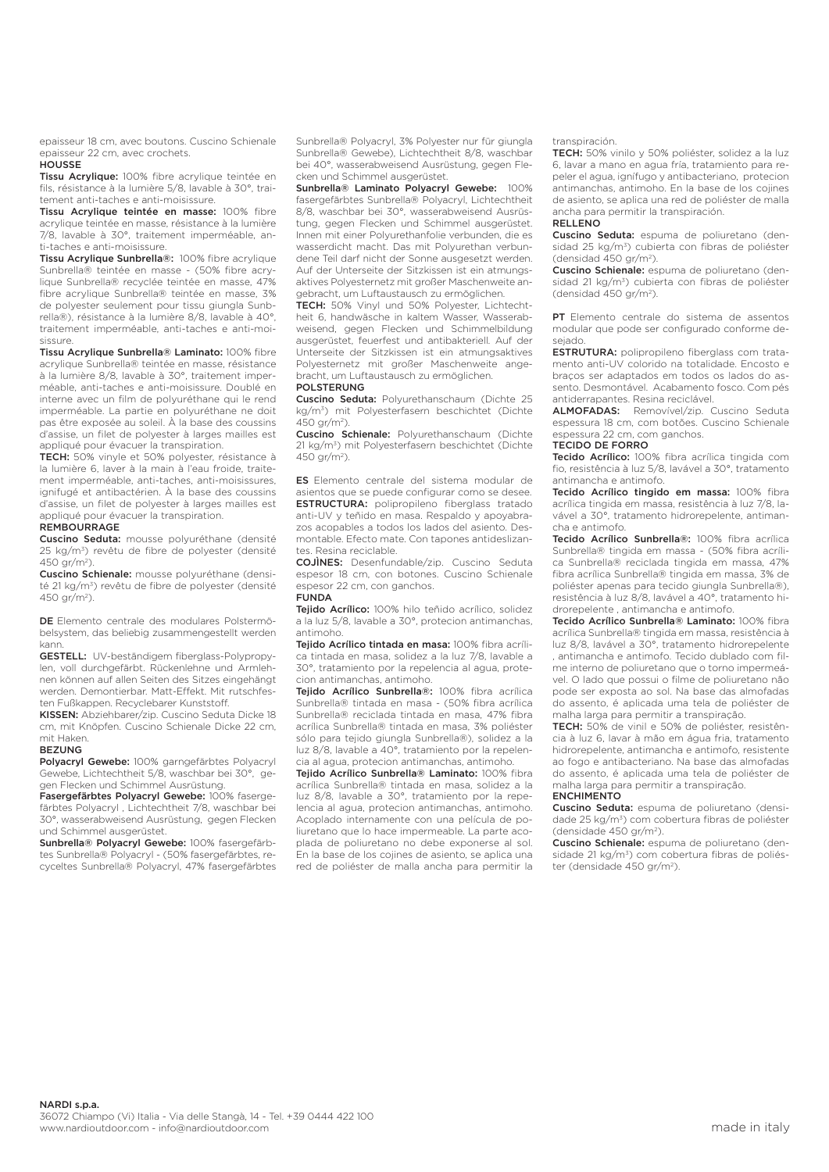epaisseur 18 cm, avec boutons. Cuscino Schienale epaisseur 22 cm, avec crochets.

## **HOUSSE**

Tissu Acrylique: 100% fibre acrylique teintée en fils, résistance à la lumière 5/8, lavable à 30°, traitement anti-taches e anti-moisissure.

Tissu Acrylique teintée en masse: 100% fibre acrylique teintée en masse, résistance à la lumière 7/8, lavable à 30°, traitement imperméable, anti-taches e anti-moisissure.

Tissu Acrylique Sunbrella®: 100% fibre acrylique Sunbrella® teintée en masse - (50% fibre acrylique Sunbrella® recyclée teintée en masse, 47% fibre acrylique Sunbrella® teintée en masse, 3% de polyester seulement pour tissu giungla Sunbrella®), résistance à la lumière 8/8, lavable à 40°, traitement imperméable, anti-taches e anti-moisissure.

Tissu Acrylique Sunbrella® Laminato: 100% fibre acrylique Sunbrella® teintée en masse, résistance à la lumière 8/8, lavable à 30°, traitement imperméable, anti-taches e anti-moisissure. Doublé en interne avec un film de polyuréthane qui le rend imperméable. La partie en polyuréthane ne doit pas être exposée au soleil. À la base des coussins d'assise, un filet de polyester à larges mailles est appliqué pour évacuer la transpiration.

TECH: 50% vinyle et 50% polyester, résistance à la lumière 6, laver à la main à l'eau froide, traitement imperméable, anti-taches, anti-moisissures, ignifugé et antibactérien. À la base des coussins d'assise, un filet de polyester à larges mailles est appliqué pour évacuer la transpiration.

#### REMBOURRAGE

Cuscino Seduta: mousse polyuréthane (densité 25 kg/m3) revêtu de fibre de polyester (densité 450 gr/ $m^2$ )

Cuscino Schienale: mousse polyuréthane (densité 21 kg/m3) revêtu de fibre de polyester (densité 450 gr/m<sup>2</sup>).

DE Elemento centrale des modulares Polstermöbelsystem, das beliebig zusammengestellt werden kann.

GESTELL: UV-beständigem fiberglass-Polypropylen, voll durchgefärbt. Rückenlehne und Armlehnen können auf allen Seiten des Sitzes eingehängt werden. Demontierbar. Matt-Effekt. Mit rutschfesten Fußkappen. Recyclebarer Kunststoff.

KISSEN: Abziehbarer/zip. Cuscino Seduta Dicke 18 cm, mit Knöpfen. Cuscino Schienale Dicke 22 cm, mit Haken.

#### BEZUNG

Polyacryl Gewebe: 100% garngefärbtes Polyacryl Gewebe, Lichtechtheit 5/8, waschbar bei 30°, gegen Flecken und Schimmel Ausrüstung.

Fasergefärbtes Polyacryl Gewebe: 100% fasergefärbtes Polyacryl , Lichtechtheit 7/8, waschbar bei 30°, wasserabweisend Ausrüstung, gegen Flecken und Schimmel ausgerüstet.

Sunbrella® Polyacryl Gewebe: 100% fasergefärbtes Sunbrella® Polyacryl - (50% fasergefärbtes, recyceltes Sunbrella® Polyacryl, 47% fasergefärbtes Sunbrella® Polyacryl, 3% Polyester nur für giungla Sunbrella® Gewebe), Lichtechtheit 8/8, waschbar bei 40°, wasserabweisend Ausrüstung, gegen Flecken und Schimmel ausgerüstet.

Sunbrella® Laminato Polyacryl Gewebe: 100% fasergefärbtes Sunbrella® Polyacryl, Lichtechtheit 8/8, waschbar bei 30°, wasserabweisend Ausrüstung, gegen Flecken und Schimmel ausgerüstet. Innen mit einer Polyurethanfolie verbunden, die es wasserdicht macht. Das mit Polyurethan verbundene Teil darf nicht der Sonne ausgesetzt werden. Auf der Unterseite der Sitzkissen ist ein atmungsaktives Polyesternetz mit großer Maschenweite angebracht, um Luftaustausch zu ermöglichen.

TECH: 50% Vinyl und 50% Polyester, Lichtechtheit 6, handwäsche in kaltem Wasser, Wasserabweisend, gegen Flecken und Schimmelbildung ausgerüstet, feuerfest und antibakteriell. Auf der Unterseite der Sitzkissen ist ein atmungsaktives Polyesternetz mit großer Maschenweite angebracht, um Luftaustausch zu ermöglichen.

## POLSTERUNG

Cuscino Seduta: Polyurethanschaum (Dichte 25 kg/m3) mit Polyesterfasern beschichtet (Dichte  $450 \text{ or/m}^2$ 

Cuscino Schienale: Polyurethanschaum (Dichte 21 kg/m3) mit Polyesterfasern beschichtet (Dichte 450 gr/m2).

ES Elemento centrale del sistema modular de asientos que se puede configurar como se desee. ESTRUCTURA: polipropileno fiberglass tratado anti-UV y teñido en masa. Respaldo y apoyabrazos acopables a todos los lados del asiento. Desmontable. Efecto mate. Con tapones antideslizantes. Resina reciclable.

COJÌNES: Desenfundable/zip. Cuscino Seduta espesor 18 cm, con botones. Cuscino Schienale espesor 22 cm, con ganchos.

### FUNDA

Tejido Acrílico: 100% hilo teñido acrílico, solidez a la luz 5/8, lavable a 30°, protecion antimanchas, antimoho.

Tejido Acrílico tintada en masa: 100% fibra acrílica tintada en masa, solidez a la luz 7/8, lavable a 30°, tratamiento por la repelencia al agua, protecion antimanchas, antimoho.

Tejido Acrílico Sunbrella®: 100% fibra acrílica Sunbrella® tintada en masa - (50% fibra acrílica Sunbrella® reciclada tintada en masa, 47% fibra acrílica Sunbrella® tintada en masa, 3% poliéster sólo para tejido giungla Sunbrella®), solidez a la luz 8/8, lavable a 40°, tratamiento por la repelencia al agua, protecion antimanchas, antimoho.

Tejido Acrílico Sunbrella® Laminato: 100% fibra acrílica Sunbrella® tintada en masa, solidez a la luz 8/8, lavable a 30°, tratamiento por la repelencia al agua, protecion antimanchas, antimoho. Acoplado internamente con una película de poliuretano que lo hace impermeable. La parte acoplada de poliuretano no debe exponerse al sol. En la base de los cojines de asiento, se aplica una red de poliéster de malla ancha para permitir la transpiración.

TECH: 50% vinilo y 50% poliéster, solidez a la luz 6, lavar a mano en agua fría, tratamiento para repeler el agua, ignífugo y antibacteriano, protecion antimanchas, antimoho. En la base de los cojines de asiento, se aplica una red de poliéster de malla ancha para permitir la transpiración.

## RELLENO

Cuscino Seduta: espuma de poliuretano (densidad 25 kg/m3) cubierta con fibras de poliéster (densidad  $450$  gr/m<sup>2</sup>).

Cuscino Schienale: espuma de poliuretano (densidad 21 kg/m<sup>3</sup>) cubierta con fibras de poliéster (densidad  $450$  gr/m<sup>2</sup>).

PT Elemento centrale do sistema de assentos modular que pode ser configurado conforme desejado.

ESTRUTURA: polipropileno fiberglass com tratamento anti-UV colorido na totalidade. Encosto e braços ser adaptados em todos os lados do assento. Desmontável. Acabamento fosco. Com pés antiderrapantes. Resina reciclável.

ALMOFADAS: Removível/zip. Cuscino Seduta espessura 18 cm, com botões. Cuscino Schienale espessura 22 cm, com ganchos.

## TECIDO DE FORRO

Tecido Acrílico: 100% fibra acrílica tingida com fio, resistência à luz 5/8, lavável a 30°, tratamento antimancha e antimofo.

Tecido Acrílico tingido em massa: 100% fibra acrílica tingida em massa, resistência à luz 7/8, lavável a 30°, tratamento hidrorepelente, antimancha e antimofo.

Tecido Acrílico Sunbrella®: 100% fibra acrílica Sunbrella® tingida em massa - (50% fibra acrílica Sunbrella® reciclada tingida em massa, 47% fibra acrílica Sunbrella® tingida em massa, 3% de poliéster apenas para tecido giungla Sunbrella®), resistência à luz 8/8, lavável a 40°, tratamento hidrorepelente , antimancha e antimofo.

Tecido Acrílico Sunbrella® Laminato: 100% fibra acrílica Sunbrella® tingida em massa, resistência à luz 8/8, lavável a 30°, tratamento hidrorepelente , antimancha e antimofo. Tecido dublado com fil-.<br>me interno de poliuretano que o torno impermeável. O lado que possui o filme de poliuretano não pode ser exposta ao sol. Na base das almofadas do assento, é aplicada uma tela de poliéster de malha larga para permitir a transpiração.

TECH: 50% de vinil e 50% de poliéster, resistência à luz 6, lavar à mão em água fria, tratamento hidrorepelente, antimancha e antimofo, resistente ao fogo e antibacteriano. Na base das almofadas do assento, é aplicada uma tela de poliéster de malha larga para permitir a transpiração.

## ENCHIMENTO

Cuscino Seduta: espuma de poliuretano (densidade 25 kg/m3) com cobertura fibras de poliéster (densidade 450 gr/m2).

Cuscino Schienale: espuma de poliuretano (densidade 21 kg/m<sup>3</sup>) com cobertura fibras de poliéster (densidade 450 gr/m<sup>2</sup>).